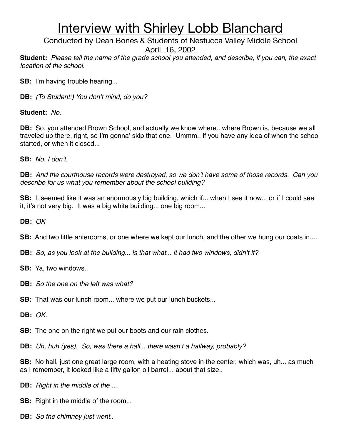Conducted by Dean Bones & Students of Nestucca Valley Middle School

April 16, 2002

**Student:** *Please tell the name of the grade school you attended, and describe, if you can, the exact location of the school.*

**SB:** I'm having trouble hearing...

**DB:** *(To Student:) You don*'*t mind, do you?* 

**Student:** *No.*

**DB:** So, you attended Brown School, and actually we know where.. where Brown is, because we all traveled up there, right, so I'm gonna' skip that one. Ummm.. if you have any idea of when the school started, or when it closed...

**SB:** *No, I don*'*t.*

**DB:** *And the courthouse records were destroyed, so we don*'*t have some of those records. Can you describe for us what you remember about the school building?*

**SB:** It seemed like it was an enormously big building, which if... when I see it now... or if I could see it, it's not very big. It was a big white building... one big room...

**DB:** *OK*

**SB:** And two little anterooms, or one where we kept our lunch, and the other we hung our coats in....

**DB:** *So, as you look at the building... is that what... it had two windows, didn*'*t it?*

**SB:** Ya, two windows..

**DB:** *So the one on the left was what?*

**SB:** That was our lunch room... where we put our lunch buckets...

**DB:** *OK.*

**SB:** The one on the right we put our boots and our rain clothes.

**DB:** *Uh, huh (yes). So, was there a hall... there wasn*'*t a hallway, probably?*

**SB:** No hall, just one great large room, with a heating stove in the center, which was, uh... as much as I remember, it looked like a fifty gallon oil barrel... about that size..

**DB:** *Right in the middle of the ...*

**SB:** Right in the middle of the room...

**DB:** *So the chimney just went..*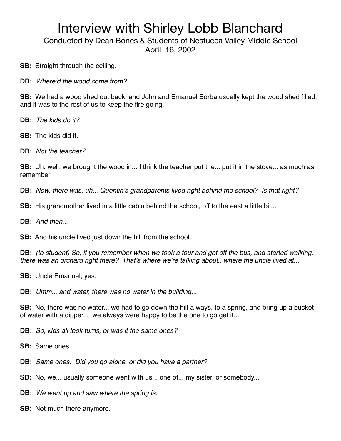Conducted by Dean Bones & Students of Nestucca Valley Middle School April 16, 2002

**SB:** Straight through the ceiling.

**DB:** *Where*'*d the wood come from?*

**SB:** We had a wood shed out back, and John and Emanuel Borba usually kept the wood shed filled, and it was to the rest of us to keep the fire going.

**DB:** *The kids do it?*

**SB:** The kids did it.

**DB:** *Not the teacher?*

**SB:** Uh, well, we brought the wood in... I think the teacher put the... put it in the stove... as much as I remember.

**DB:** *Now, there was, uh... Quentin*'*s grandparents lived right behind the school? Is that right?*

**SB:** His grandmother lived in a little cabin behind the school, off to the east a little bit...

**DB:** *And then...*

**SB:** And his uncle lived just down the hill from the school.

**DB:** *(to student) So, if you remember when we took a tour and got off the bus, and started walking, there was an orchard right there? That*'*s where we*'*re talking about.. where the uncle lived at...* 

**SB:** Uncle Emanuel, yes.

**DB:** *Umm... and water, there was no water in the building...*

**SB:** No, there was no water... we had to go down the hill a ways, to a spring, and bring up a bucket of water with a dipper... we always were happy to be the one to go get it...

**DB:** *So, kids all took turns, or was it the same ones?*

**SB:** Same ones.

**DB:** *Same ones. Did you go alone, or did you have a partner?*

**SB:** No, we... usually someone went with us... one of... my sister, or somebody...

**DB:** *We went up and saw where the spring is.*

**SB:** Not much there anymore.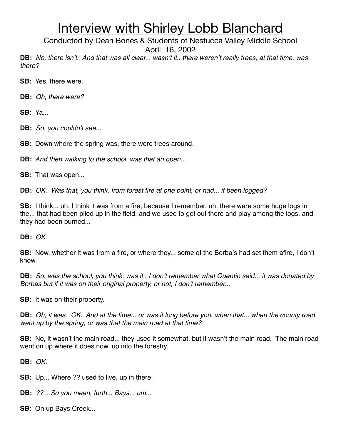Conducted by Dean Bones & Students of Nestucca Valley Middle School

April 16, 2002

**DB:** *No, there isn*'*t. And that was all clear... wasn*'*t it.. there weren*'*t really trees, at that time, was there?*

**SB:** Yes, there were.

**DB:** *Oh, there were?*

**SB:** Ya...

**DB:** *So, you couldn*'*t see...*

**SB:** Down where the spring was, there were trees around.

**DB:** *And then walking to the school, was that an open...*

**SB:** That was open...

**DB:** *OK. Was that, you think, from forest fire at one point, or had... it been logged?*

**SB:** I think... uh, I think it was from a fire, because I remember, uh, there were some huge logs in the... that had been piled up in the field, and we used to get out there and play among the logs, and they had been burned...

**DB:** *OK.*

**SB:** Now, whether it was from a fire, or where they... some of the Borba's had set them afire, I don't know.

**DB:** *So, was the school, you think, was it.. I don*'*t remember what Quentin said... it was donated by Borbas but if it was on their original property, or not, I don*'*t remember...*

**SB:** It was on their property.

**DB:** *Oh, it was. OK. And at the time... or was it long before you, when that... when the county road went up by the spring, or was that the main road at that time?*

**SB:** No, it wasn't the main road... they used it somewhat, but it wasn't the main road. The main road went on up where it does now, up into the forestry.

**DB:** *OK.*

**SB:** Up... Where ?? used to live, up in there.

**DB:** *??... So you mean, furth... Bays... um...*

**SB:** On up Bays Creek...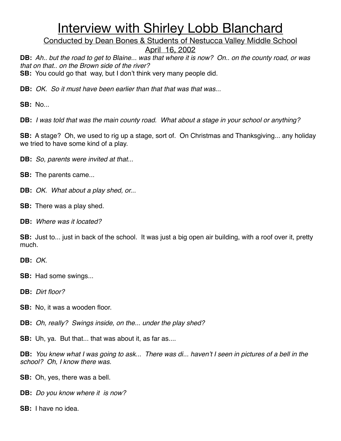Conducted by Dean Bones & Students of Nestucca Valley Middle School

April 16, 2002

**DB:** *Ah.. but the road to get to Blaine... was that where it is now? On.. on the county road, or was that on that.. on the Brown side of the river?* **SB:** You could go that way, but I don't think very many people did.

**DB:** *OK. So it must have been earlier than that that was that was...*

**SB:** No...

**DB:** *I was told that was the main county road. What about a stage in your school or anything?*

**SB:** A stage? Oh, we used to rig up a stage, sort of. On Christmas and Thanksgiving... any holiday we tried to have some kind of a play.

**DB:** *So, parents were invited at that...*

**SB:** The parents came...

**DB:** *OK. What about a play shed, or...*

**SB:** There was a play shed.

**DB:** *Where was it located?*

**SB:** Just to... just in back of the school. It was just a big open air building, with a roof over it, pretty much.

**DB:** *OK.*

**SB:** Had some swings...

**DB:** *Dirt floor?*

**SB:** No, it was a wooden floor.

**DB:** *Oh, really? Swings inside, on the... under the play shed?*

**SB:** Uh, ya. But that... that was about it, as far as....

**DB:** *You knew what I was going to ask... There was di... haven*'*t I seen in pictures of a bell in the school? Oh, I know there was.*

**SB:** Oh, yes, there was a bell.

**DB:** *Do you know where it is now?*

**SB:** I have no idea.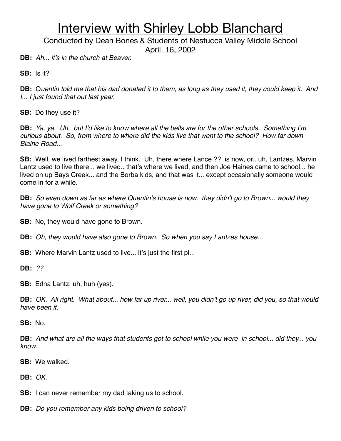Conducted by Dean Bones & Students of Nestucca Valley Middle School

April 16, 2002

**DB:** *Ah... it*'*s in the church at Beaver.*

**SB:** Is it?

**DB:** Q*uentin told me that his dad donated it to them, as long as they used it, they could keep it. And I... I just found that out last year.*

**SB:** Do they use it?

**DB:** *Ya, ya. Uh, but I*'*d like to know where all the bells are for the other schools. Something I*'*m curious about. So, from where to where did the kids live that went to the school? How far down Blaine Road...*

**SB:** Well, we lived farthest away, I think. Uh, there where Lance ?? is now, or.. uh, Lantzes, Marvin Lantz used to live there... we lived.. that's where we lived, and then Joe Haines came to school... he lived on up Bays Creek... and the Borba kids, and that was it... except occasionally someone would come in for a while.

**DB:** *So even down as far as where Quentin*'*s house is now, they didn*'*t go to Brown... would they have gone to Wolf Creek or something?*

**SB:** No, they would have gone to Brown.

**DB:** *Oh, they would have also gone to Brown. So when you say Lantzes house...*

**SB:** Where Marvin Lantz used to live... it's just the first pl...

**DB:** *??*

**SB:** Edna Lantz, uh, huh (yes).

**DB:** *OK. All right. What about... how far up river... well, you didn*'*t go up river, did you, so that would have been it.*

**SB:** No.

**DB:** *And what are all the ways that students got to school while you were in school... did they... you know...*

**SB:** We walked.

**DB:** *OK.*

**SB:** I can never remember my dad taking us to school.

**DB:** *Do you remember any kids being driven to school?*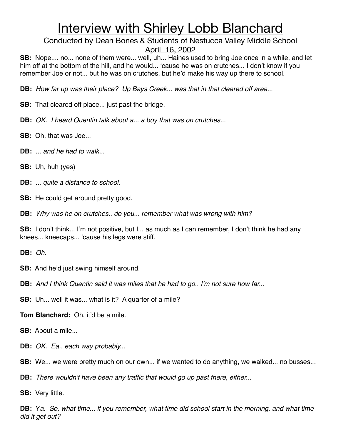Conducted by Dean Bones & Students of Nestucca Valley Middle School

April 16, 2002

**SB:** Nope.... no... none of them were... well, uh... Haines used to bring Joe once in a while, and let him off at the bottom of the hill, and he would... ʻcause he was on crutches... I don't know if you remember Joe or not... but he was on crutches, but he'd make his way up there to school.

**DB:** *How far up was their place? Up Bays Creek... was that in that cleared off area...*

**SB:** That cleared off place... just past the bridge.

- **DB:** *OK. I heard Quentin talk about a... a boy that was on crutches...*
- **SB:** Oh, that was Joe...
- **DB:** *... and he had to walk...*
- **SB:** Uh, huh (yes)
- **DB:** *... quite a distance to school.*
- **SB:** He could get around pretty good.

**DB:** *Why was he on crutches.. do you... remember what was wrong with him?*

**SB:** I don't think... I'm not positive, but I... as much as I can remember, I don't think he had any knees... kneecaps... ʻcause his legs were stiff.

**DB:** *Oh.*

- **SB:** And he'd just swing himself around.
- **DB:** *And I think Quentin said it was miles that he had to go.. I*'*m not sure how far...*
- **SB:** Uh... well it was... what is it? A quarter of a mile?

**Tom Blanchard:** Oh, it'd be a mile.

- **SB:** About a mile...
- **DB:** *OK. Ea.. each way probably...*
- **SB:** We... we were pretty much on our own... if we wanted to do anything, we walked... no busses...
- **DB:** *There wouldn*'*t have been any traffic that would go up past there, either...*
- **SB:** Very little.

**DB:** Y*a. So, what time... if you remember, what time did school start in the morning, and what time did it get out?*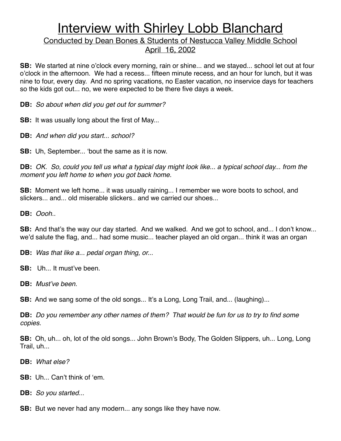### Conducted by Dean Bones & Students of Nestucca Valley Middle School April 16, 2002

**SB:** We started at nine o'clock every morning, rain or shine... and we stayed... school let out at four o'clock in the afternoon. We had a recess... fifteen minute recess, and an hour for lunch, but it was nine to four, every day. And no spring vacations, no Easter vacation, no inservice days for teachers so the kids got out... no, we were expected to be there five days a week.

**DB:** *So about when did you get out for summer?*

**SB:** It was usually long about the first of May...

**DB:** *And when did you start... school?*

**SB:** Uh, September... ʻbout the same as it is now.

**DB:** *OK. So, could you tell us what a typical day might look like... a typical school day... from the moment you left home to when you got back home.*

**SB:** Moment we left home... it was usually raining... I remember we wore boots to school, and slickers... and... old miserable slickers.. and we carried our shoes...

**DB:** *Oooh..*

**SB:** And that's the way our day started. And we walked. And we got to school, and... I don't know... we'd salute the flag, and... had some music... teacher played an old organ... think it was an organ

**DB:** *Was that like a... pedal organ thing, or...*

**SB:** Uh... It must've been.

**DB:** *Must*'*ve been.*

**SB:** And we sang some of the old songs... It's a Long, Long Trail, and... (laughing)...

**DB:** *Do you remember any other names of them? That would be fun for us to try to find some copies.*

**SB:** Oh, uh... oh, lot of the old songs... John Brown's Body, The Golden Slippers, uh... Long, Long Trail, uh...

**DB:** *What else?*

**SB:** Uh... Can't think of ʻem.

**DB:** *So you started...*

**SB:** But we never had any modern... any songs like they have now.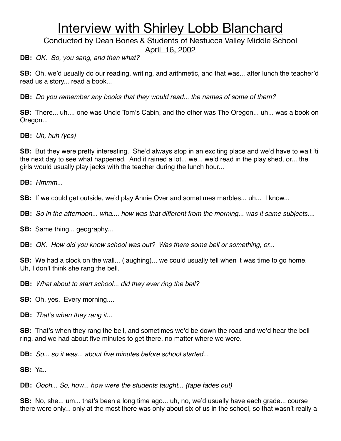Conducted by Dean Bones & Students of Nestucca Valley Middle School

April 16, 2002

**DB:** *OK. So, you sang, and then what?*

**SB:** Oh, we'd usually do our reading, writing, and arithmetic, and that was... after lunch the teacher'd read us a story... read a book...

**DB:** *Do you remember any books that they would read... the names of some of them?*

**SB:** There... uh.... one was Uncle Tom's Cabin, and the other was The Oregon... uh... was a book on Oregon...

**DB:** *Uh, huh (yes)*

**SB:** But they were pretty interesting. She'd always stop in an exciting place and we'd have to wait ʻtil the next day to see what happened. And it rained a lot... we... we'd read in the play shed, or... the girls would usually play jacks with the teacher during the lunch hour...

**DB:** *Hmmm...*

**SB:** If we could get outside, we'd play Annie Over and sometimes marbles... uh... I know...

**DB:** *So in the afternoon... wha.... how was that different from the morning... was it same subjects....*

**SB:** Same thing... geography...

**DB:** *OK. How did you know school was out? Was there some bell or something, or...*

**SB:** We had a clock on the wall... (laughing)... we could usually tell when it was time to go home. Uh, I don't think she rang the bell.

**DB:** *What about to start school... did they ever ring the bell?*

**SB:** Oh, yes. Every morning....

**DB:** *That*'*s when they rang it...*

**SB:** That's when they rang the bell, and sometimes we'd be down the road and we'd hear the bell ring, and we had about five minutes to get there, no matter where we were.

**DB:** *So... so it was... about five minutes before school started...*

**SB:** Ya..

**DB:** *Oooh... So, how... how were the students taught... (tape fades out)*

**SB:** No, she... um... that's been a long time ago... uh, no, we'd usually have each grade... course there were only... only at the most there was only about six of us in the school, so that wasn't really a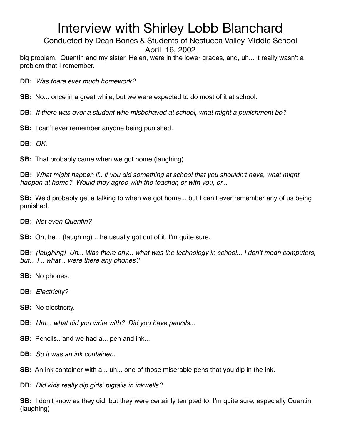Conducted by Dean Bones & Students of Nestucca Valley Middle School

April 16, 2002

big problem. Quentin and my sister, Helen, were in the lower grades, and, uh... it really wasn't a problem that I remember.

**DB:** *Was there ever much homework?*

**SB:** No... once in a great while, but we were expected to do most of it at school.

**DB:** *If there was ever a student who misbehaved at school, what might a punishment be?*

**SB:** I can't ever remember anyone being punished.

**DB:** *OK.*

**SB:** That probably came when we got home (laughing).

**DB:** *What might happen if.. if you did something at school that you shouldn*'*t have, what might happen at home? Would they agree with the teacher, or with you, or...*

**SB:** We'd probably get a talking to when we got home... but I can't ever remember any of us being punished.

**DB:** *Not even Quentin?*

**SB:** Oh, he... (laughing) .. he usually got out of it, I'm quite sure.

**DB:** *(Iaughing) Uh... Was there any... what was the technology in school... I don*'*t mean computers, but... I .. what... were there any phones?*

**SB:** No phones.

**DB:** *Electricity?*

**SB:** No electricity.

**DB:** *Um... what did you write with? Did you have pencils...*

**SB:** Pencils.. and we had a... pen and ink...

**DB:** *So it was an ink container..*.

**SB:** An ink container with a... uh... one of those miserable pens that you dip in the ink.

**DB:** *Did kids really dip girls*' *pigtails in inkwells?*

**SB:** I don't know as they did, but they were certainly tempted to, I'm quite sure, especially Quentin. (laughing)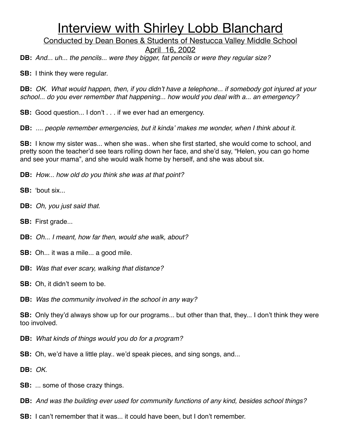Conducted by Dean Bones & Students of Nestucca Valley Middle School

April 16, 2002

**DB:** *And... uh... the pencils... were they bigger, fat pencils or were they regular size?*

**SB:** I think they were regular.

**DB:** *OK. What would happen, then, if you didn*'*t have a telephone... if somebody got injured at your school... do you ever remember that happening... how would you deal with a... an emergency?*

**SB:** Good question... I don't . . . if we ever had an emergency.

**DB:** *.... people remember emergencies, but it kinda*' *makes me wonder, when I think about it.*

**SB:** I know my sister was... when she was.. when she first started, she would come to school, and pretty soon the teacher'd see tears rolling down her face, and she'd say, "Helen, you can go home and see your mama", and she would walk home by herself, and she was about six.

**DB:** *How... how old do you think she was at that point?*

**SB: '**bout six...

- **DB:** *Oh, you just said that.*
- **SB:** First grade...
- **DB:** *Oh... I meant, how far then, would she walk, about?*
- **SB:** Oh... it was a mile... a good mile.
- **DB:** *Was that ever scary, walking that distance?*
- **SB:** Oh, it didn't seem to be.
- **DB:** *Was the community involved in the school in any way?*

**SB:** Only they'd always show up for our programs... but other than that, they... I don't think they were too involved.

- **DB:** *What kinds of things would you do for a program?*
- **SB:** Oh, we'd have a little play.. we'd speak pieces, and sing songs, and...

**DB:** *OK.*

- **SB:** ... some of those crazy things.
- **DB:** *And was the building ever used for community functions of any kind, besides school things?*
- **SB:** I can't remember that it was... it could have been, but I don't remember.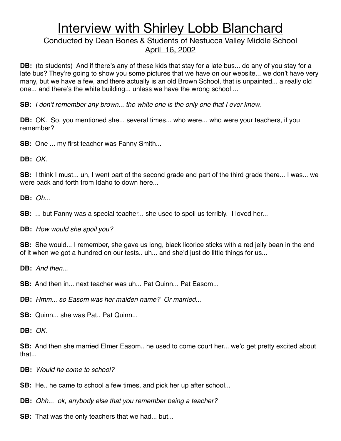### Conducted by Dean Bones & Students of Nestucca Valley Middle School April 16, 2002

**DB:** (to students) And if there's any of these kids that stay for a late bus... do any of you stay for a late bus? They're going to show you some pictures that we have on our website... we don't have very many, but we have a few, and there actually is an old Brown School, that is unpainted... a really old one... and there's the white building... unless we have the wrong school ...

**SB:** *I don*'*t remember any brown... the white one is the only one that I ever knew.*

**DB:** OK. So, you mentioned she... several times... who were... who were your teachers, if you remember?

**SB:** One ... my first teacher was Fanny Smith...

**DB:** *OK.*

**SB:** I think I must... uh, I went part of the second grade and part of the third grade there... I was... we were back and forth from Idaho to down here...

**DB:** *Oh...*

**SB:** ... but Fanny was a special teacher... she used to spoil us terribly. I loved her...

**DB:** *How would she spoil you?*

**SB:** She would... I remember, she gave us long, black licorice sticks with a red jelly bean in the end of it when we got a hundred on our tests.. uh... and she'd just do little things for us...

**DB:** *And then...*

**SB:** And then in... next teacher was uh... Pat Quinn... Pat Easom...

**DB:** *Hmm... so Easom was her maiden name? Or married...*

**SB:** Quinn... she was Pat.. Pat Quinn...

**DB:** *OK.*

**SB:** And then she married Elmer Easom.. he used to come court her... we'd get pretty excited about that...

**DB:** *Would he come to school?*

**SB:** He.. he came to school a few times, and pick her up after school...

**DB:** *Ohh... ok, anybody else that you remember being a teacher?*

**SB:** That was the only teachers that we had... but...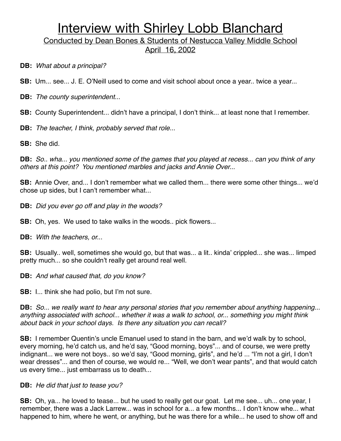Conducted by Dean Bones & Students of Nestucca Valley Middle School April 16, 2002

**DB:** *What about a principal?*

**SB:** Um... see... J. E. O'Neill used to come and visit school about once a year.. twice a year...

**DB:** *The county superintendent...*

**SB:** County Superintendent... didn't have a principal, I don't think... at least none that I remember.

**DB:** *The teacher, I think, probably served that role...*

**SB:** She did.

**DB:** *So.. wha... you mentioned some of the games that you played at recess... can you think of any others at this point? You mentioned marbles and jacks and Annie Over...*

**SB:** Annie Over, and... I don't remember what we called them... there were some other things... we'd chose up sides, but I can't remember what...

**DB:** *Did you ever go off and play in the woods?*

**SB:** Oh, yes. We used to take walks in the woods.. pick flowers...

**DB:** *With the teachers, or.*..

**SB:** Usually.. well, sometimes she would go, but that was... a lit.. kinda' crippled... she was... limped pretty much... so she couldn't really get around real well.

**DB:** *And what caused that, do you know?*

**SB:** I... think she had polio, but I'm not sure.

**DB:** *So... we really want to hear any personal stories that you remember about anything happening... anything associated with school... whether it was a walk to school, or... something you might think about back in your school days. Is there any situation you can recall?*

**SB:** I remember Quentin's uncle Emanuel used to stand in the barn, and we'd walk by to school, every morning, he'd catch us, and he'd say, "Good morning, boys"... and of course, we were pretty indignant... we were not boys.. so we'd say, "Good morning, girls", and he'd ... "I'm not a girl, I don't wear dresses"... and then of course, we would re... "Well, we don't wear pants", and that would catch us every time... just embarrass us to death...

#### **DB:** *He did that just to tease you?*

**SB:** Oh, ya... he loved to tease... but he used to really get our goat. Let me see... uh... one year, I remember, there was a Jack Larrew... was in school for a... a few months... I don't know whe... what happened to him, where he went, or anything, but he was there for a while... he used to show off and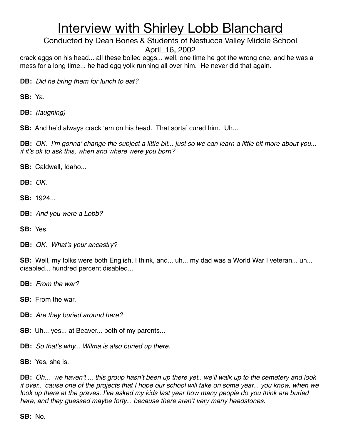Conducted by Dean Bones & Students of Nestucca Valley Middle School

April 16, 2002

crack eggs on his head... all these boiled eggs... well, one time he got the wrong one, and he was a mess for a long time... he had egg yolk running all over him. He never did that again.

**DB:** *Did he bring them for lunch to eat?*

**SB:** Ya.

**DB:** *(laughing)*

**SB:** And he'd always crack ʻem on his head. That sorta' cured him. Uh...

**DB:** *OK. I*'*m gonna*' *change the subject a little bit... just so we can learn a little bit more about you... if it*'*s ok to ask this, when and where were you born?*

**SB:** Caldwell, Idaho...

**DB:** *OK.*

**SB:** 1924...

**DB:** *And you were a Lobb?*

**SB:** Yes.

**DB:** *OK. What*'*s your ancestry?*

**SB:** Well, my folks were both English, I think, and... uh... my dad was a World War I veteran... uh... disabled... hundred percent disabled...

**DB:** *From the war?*

**SB:** From the war.

**DB:** *Are they buried around here?*

**SB**: Uh... yes... at Beaver... both of my parents...

**DB:** *So that*'*s why... Wilma is also buried up there.*

**SB:** Yes, she is.

**DB:** *Oh... we haven*'*t ... this group hasn*'*t been up there yet.. we*'*ll walk up to the cemetery and look it over..* ʻ*cause one of the projects that I hope our school will take on some year... you know, when we look up there at the graves, I've asked my kids last year how many people do you think are buried here, and they guessed maybe forty... because there aren*'*t very many headstones.*

**SB:** No.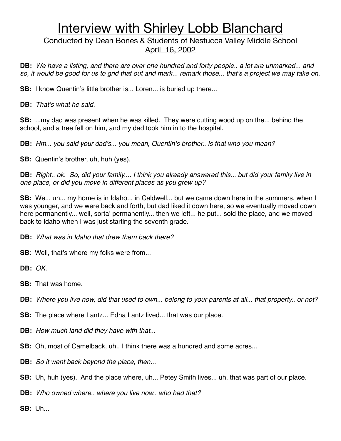Conducted by Dean Bones & Students of Nestucca Valley Middle School April 16, 2002

**DB:** *We have a listing, and there are over one hundred and forty people.. a lot are unmarked... and so, it would be good for us to grid that out and mark... remark those... that*'*s a project we may take on.*

**SB:** I know Quentin's little brother is... Loren... is buried up there...

**DB:** *That*'*s what he said.*

**SB:** ...my dad was present when he was killed. They were cutting wood up on the... behind the school, and a tree fell on him, and my dad took him in to the hospital.

**DB:** *Hm... you said your dad*'*s... you mean, Quentin*'*s brother.. is that who you mean?*

**SB:** Quentin's brother, uh, huh (yes).

**DB:** *Right.. ok. So, did your family.... I think you already answered this... but did your family live in one place, or did you move in different places as you grew up?*

**SB:** We... uh... my home is in Idaho... in Caldwell... but we came down here in the summers, when I was younger, and we were back and forth, but dad liked it down here, so we eventually moved down here permanently... well, sorta' permanently... then we left... he put... sold the place, and we moved back to Idaho when I was just starting the seventh grade.

**DB:** *What was in Idaho that drew them back there?*

**SB:** Well, that's where my folks were from...

**DB:** *OK.*

- **SB:** That was home.
- **DB:** *Where you live now, did that used to own... belong to your parents at all... that property.. or not?*
- **SB:** The place where Lantz... Edna Lantz lived... that was our place.
- **DB:** *How much land did they have with that...*
- **SB:** Oh, most of Camelback, uh.. I think there was a hundred and some acres...
- **DB:** *So it went back beyond the place, then...*
- **SB:** Uh, huh (yes). And the place where, uh... Petey Smith lives... uh, that was part of our place.

**DB:** *Who owned where.. where you live now.. who had that?*

**SB:** Uh...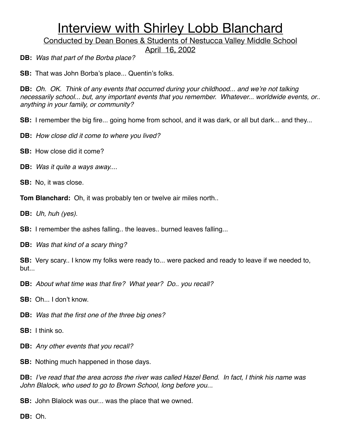Conducted by Dean Bones & Students of Nestucca Valley Middle School

April 16, 2002

**DB:** *Was that part of the Borba place?*

**SB:** That was John Borba's place... Quentin's folks.

**DB:** *Oh. OK. Think of any events that occurred during your childhood... and we*'*re not talking necessarily school... but, any important events that you remember. Whatever... worldwide events, or.. anything in your family, or community?*

**SB:** I remember the big fire... going home from school, and it was dark, or all but dark... and they...

- **DB:** *How close did it come to where you lived?*
- **SB:** How close did it come?
- **DB:** *Was it quite a ways away...*.
- **SB:** No, it was close.
- **Tom Blanchard:** Oh, it was probably ten or twelve air miles north..

**DB:** *Uh, huh (yes).*

**SB:** I remember the ashes falling.. the leaves.. burned leaves falling...

**DB:** *Was that kind of a scary thing?*

**SB:** Very scary.. I know my folks were ready to... were packed and ready to leave if we needed to, but...

**DB:** *About what time was that fire? What year? Do.. you recall?*

**SB:** Oh... I don't know.

- **DB:** *Was that the first one of the three big ones?*
- **SB:** I think so.
- **DB:** *Any other events that you recall?*
- **SB:** Nothing much happened in those days.

**DB:** *I*'*ve read that the area across the river was called Hazel Bend. In fact, I think his name was John Blalock, who used to go to Brown School, long before you...*

**SB:** John Blalock was our... was the place that we owned.

**DB:** Oh.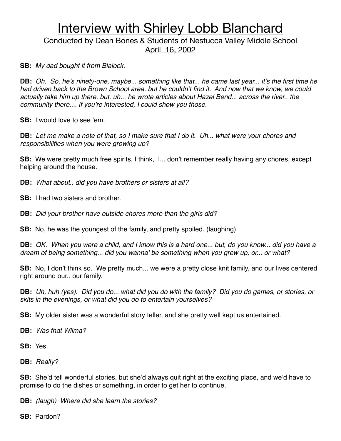Conducted by Dean Bones & Students of Nestucca Valley Middle School April 16, 2002

**SB:** *My dad bought it from Blalock.*

**DB:** *Oh. So, he*'*s ninety-one, maybe... something like that... he came last year... it*'*s the first time he had driven back to the Brown School area, but he couldn*'*t find it. And now that we know, we could*  actually take him up there, but, uh... he wrote articles about Hazel Bend... across the river.. the *community there.... if you*'*re interested, I could show you those.*

**SB:** I would love to see ʻem.

**DB:** *Let me make a note of that, so I make sure that I do it. Uh... what were your chores and responsibilities when you were growing up?*

**SB:** We were pretty much free spirits, I think, I... don't remember really having any chores, except helping around the house.

**DB:** *What about.. did you have brothers or sisters at all?*

**SB:** I had two sisters and brother.

**DB:** *Did your brother have outside chores more than the girls did?*

**SB:** No, he was the youngest of the family, and pretty spoiled. (laughing)

**DB:** *OK. When you were a child, and I know this is a hard one... but, do you know... did you have a dream of being something... did you wanna*' *be something when you grew up, or... or what?*

**SB:** No, I don't think so. We pretty much... we were a pretty close knit family, and our lives centered right around our.. our family.

**DB:** *Uh, huh (yes). Did you do... what did you do with the family? Did you do games, or stories, or skits in the evenings, or what did you do to entertain yourselves?*

**SB:** My older sister was a wonderful story teller, and she pretty well kept us entertained.

**DB:** *Was that Wilma?*

**SB:** Yes.

**DB:** *Really?*

**SB:** She'd tell wonderful stories, but she'd always quit right at the exciting place, and we'd have to promise to do the dishes or something, in order to get her to continue.

**DB:** *(laugh) Where did she learn the stories?*

**SB:** Pardon?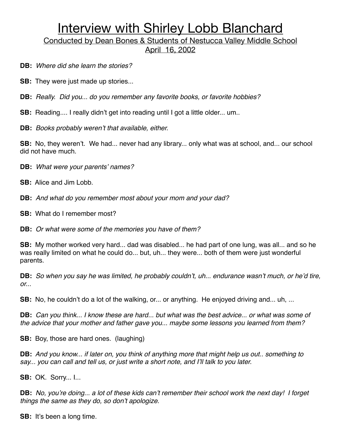Conducted by Dean Bones & Students of Nestucca Valley Middle School April 16, 2002

**DB:** *Where did she learn the stories?*

**SB:** They were just made up stories...

**DB:** *Really. Did you... do you remember any favorite books, or favorite hobbies?*

**SB:** Reading.... I really didn't get into reading until I got a little older... um..

**DB:** *Books probably weren*'*t that available, either.*

**SB:** No, they weren't. We had... never had any library... only what was at school, and... our school did not have much.

**DB:** *What were your parents*' *names?*

**SB:** Alice and Jim Lobb.

**DB:** *And what do you remember most about your mom and your dad?*

**SB:** What do I remember most?

**DB:** *Or what were some of the memories you have of them?*

**SB:** My mother worked very hard... dad was disabled... he had part of one lung, was all... and so he was really limited on what he could do... but, uh... they were... both of them were just wonderful parents.

**DB:** *So when you say he was limited, he probably couldn*'*t, uh... endurance wasn*'*t much, or he*'*d tire, or...*

**SB:** No, he couldn't do a lot of the walking, or... or anything. He enjoyed driving and... uh, ...

**DB:** *Can you think... I know these are hard... but what was the best advice... or what was some of the advice that your mother and father gave you... maybe some lessons you learned from them?*

**SB:** Boy, those are hard ones. (laughing)

**DB:** *And you know... if later on, you think of anything more that might help us out.. something to say... you can call and tell us, or just write a short note, and I*'*ll talk to you later.*

**SB:** OK. Sorry... I...

**DB:** *No, you*'*re doing... a lot of these kids can*'*t remember their school work the next day! I forget things the same as they do, so don*'*t apologize.*

**SB:** It's been a long time.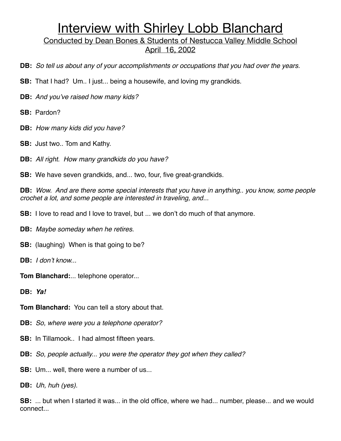Conducted by Dean Bones & Students of Nestucca Valley Middle School April 16, 2002

- **DB:** *So tell us about any of your accomplishments or occupations that you had over the years.*
- **SB:** That I had? Um.. I just... being a housewife, and loving my grandkids.
- **DB:** *And you*'*ve raised how many kids?*
- **SB:** Pardon?
- **DB:** *How many kids did you have?*
- **SB:** Just two.. Tom and Kathy.
- **DB:** *All right. How many grandkids do you have?*
- **SB:** We have seven grandkids, and... two, four, five great-grandkids.

**DB:** *Wow. And are there some special interests that you have in anything.. you know, some people crochet a lot, and some people are interested in traveling, and...*

- **SB:** I love to read and I love to travel, but ... we don't do much of that anymore.
- **DB:** *Maybe someday when he retires.*
- **SB:** (laughing) When is that going to be?
- **DB:** *I don*'*t know...*
- **Tom Blanchard:**... telephone operator...
- **DB:** *Ya!*
- **Tom Blanchard:** You can tell a story about that.
- **DB:** *So, where were you a telephone operator?*
- **SB:** In Tillamook.. I had almost fifteen years.
- **DB:** *So, people actually... you were the operator they got when they called?*
- **SB:** Um... well, there were a number of us...
- **DB:** *Uh, huh (yes).*

**SB:** ... but when I started it was... in the old office, where we had... number, please... and we would connect...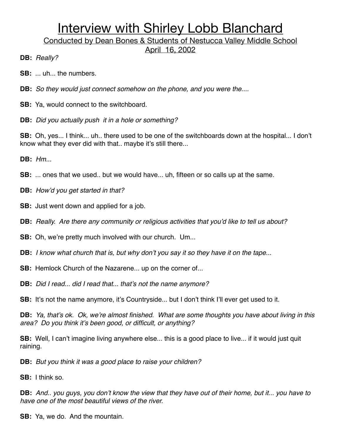Conducted by Dean Bones & Students of Nestucca Valley Middle School

April 16, 2002

**DB:** *Really?*

- **SB:** ... uh... the numbers.
- **DB:** *So they would just connect somehow on the phone, and you were the....*
- **SB:** Ya, would connect to the switchboard.
- **DB:** *Did you actually push it in a hole or something?*

**SB:** Oh, yes... I think... uh.. there used to be one of the switchboards down at the hospital... I don't know what they ever did with that.. maybe it's still there...

**DB:** *Hm...*

- **SB:** ... ones that we used.. but we would have... uh, fifteen or so calls up at the same.
- **DB:** *How*'*d you get started in that?*
- **SB:** Just went down and applied for a job.
- **DB:** *Really. Are there any community or religious activities that you*'*d like to tell us about?*
- **SB:** Oh, we're pretty much involved with our church. Um...
- **DB:** *I know what church that is, but why don*'*t you say it so they have it on the tape...*
- **SB:** Hemlock Church of the Nazarene... up on the corner of...

**DB:** *Did I read... did I read that... that*'*s not the name anymore?*

**SB:** It's not the name anymore, it's Countryside... but I don't think I'll ever get used to it.

**DB:** *Ya, that*'*s ok. Ok, we*'*re almost finished. What are some thoughts you have about living in this area? Do you think it*'*s been good, or difficult, or anything?*

**SB:** Well, I can't imagine living anywhere else... this is a good place to live... if it would just quit raining.

**DB:** *But you think it was a good place to raise your children?*

**SB:** I think so.

**DB:** *And.. you guys, you don*'*t know the view that they have out of their home, but it... you have to have one of the most beautiful views of the river.*

**SB:** Ya, we do. And the mountain.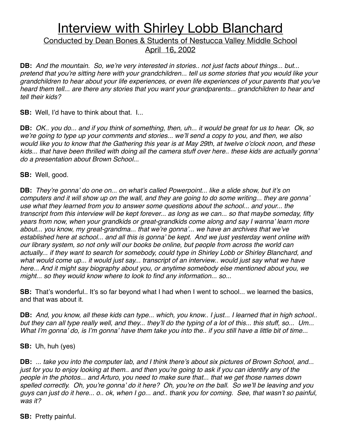### Conducted by Dean Bones & Students of Nestucca Valley Middle School April 16, 2002

**DB:** *And the mountain. So, we*'*re very interested in stories.. not just facts about things... but... pretend that you*'*re sitting here with your grandchildren... tell us some stories that you would like your grandchildren to hear about your life experiences, or even life experiences of your parents that you*'*ve heard them tell... are there any stories that you want your grandparents... grandchildren to hear and tell their kids?*

**SB:** Well, I'd have to think about that. I...

**DB:** *OK.. you do... and if you think of something, then, uh... it would be great for us to hear. Ok, so we*'*re going to type up your comments and stories... we*'*ll send a copy to you, and then, we also would like you to know that the Gathering this year is at May 29th, at twelve o*'*clock noon, and these kids... that have been thrilled with doing all the camera stuff over here.. these kids are actually gonna*' *do a presentation about Brown School...*

**SB:** Well, good.

**DB:** *They*'*re gonna*' *do one on... on what*'*s called Powerpoint... like a slide show, but it*'*s on computers and it will show up on the wall, and they are going to do some writing... they are gonna*' *use what they learned from you to answer some questions about the school... and your... the transcript from this interview will be kept forever... as long as we can... so that maybe someday, fifty years from now, when your grandkids or great-grandkids come along and say I wanna*' *learn more about... you know, my great-grandma... that we*'*re gonna*'*... we have an archives that we*'*ve established here at school... and all this is gonna*' *be kept. And we just yesterday went online with our library system, so not only will our books be online, but people from across the world can actually... if they want to search for somebody, could type in Shirley Lobb or Shirley Blanchard, and*  what would come up... it would just say... transcript of an interview.. would just say what we have *here... And it might say biography about you, or anytime somebody else mentioned about you, we might... so they would know where to look to find any information... so...*

**SB:** That's wonderful.. It's so far beyond what I had when I went to school... we learned the basics, and that was about it.

**DB:** *And, you know, all these kids can type... which, you know.. I just... I learned that in high school.. but they can all type really well, and they... they*'*ll do the typing of a lot of this... this stuff, so... Um... What I*'*m gonna*' *do, is I*'*m gonna*' *have them take you into the.. if you still have a little bit of time...*

**SB:** Uh, huh (yes)

**DB:** *... take you into the computer lab, and I think there*'*s about six pictures of Brown School, and... just for you to enjoy looking at them.. and then you*'*re going to ask if you can identify any of the people in the photos... and Arturo, you need to make sure that... that we get those names down spelled correctly. Oh, you*'*re gonna*' *do it here? Oh, you*'*re on the ball. So we*'*ll be leaving and you guys can just do it here... o.. ok, when I go... and.. thank you for coming. See, that wasn*'*t so painful, was it?*

**SB:** Pretty painful.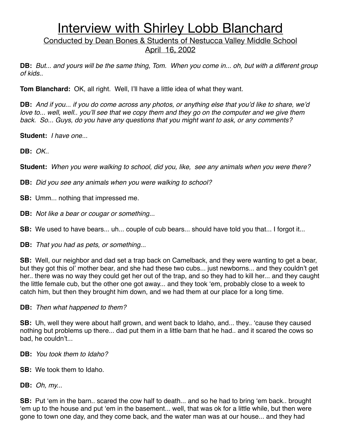Conducted by Dean Bones & Students of Nestucca Valley Middle School April 16, 2002

**DB:** *But... and yours will be the same thing, Tom. When you come in... oh, but with a different group of kids..*

**Tom Blanchard:** OK, all right. Well, I'll have a little idea of what they want.

**DB:** *And if you... if you do come across any photos, or anything else that you*'*d like to share, we*'*d love to... well, well.. you*'*ll see that we copy them and they go on the computer and we give them back. So... Guys, do you have any questions that you might want to ask, or any comments?*

**Student:** *I have one...* 

**DB:** *OK..*

**Student:** *When you were walking to school, did you, like, see any animals when you were there?*

**DB:** *Did you see any animals when you were walking to school?*

**SB:** Umm... nothing that impressed me.

**DB:** *Not like a bear or cougar or something...*

**SB:** We used to have bears... uh... couple of cub bears... should have told you that... I forgot it...

**DB:** *That you had as pets, or something...*

**SB:** Well, our neighbor and dad set a trap back on Camelback, and they were wanting to get a bear, but they got this ol' mother bear, and she had these two cubs... just newborns... and they couldn't get her.. there was no way they could get her out of the trap, and so they had to kill her... and they caught the little female cub, but the other one got away... and they took ʻem, probably close to a week to catch him, but then they brought him down, and we had them at our place for a long time.

**DB:** *Then what happened to them?*

**SB:** Uh, well they were about half grown, and went back to Idaho, and... they.. ʻcause they caused nothing but problems up there... dad put them in a little barn that he had.. and it scared the cows so bad, he couldn't...

**DB:** *You took them to Idaho?*

**SB:** We took them to Idaho.

**DB:** *Oh, my...*

**SB:** Put ʻem in the barn.. scared the cow half to death... and so he had to bring ʻem back.. brought ʻem up to the house and put ʻem in the basement... well, that was ok for a little while, but then were gone to town one day, and they come back, and the water man was at our house... and they had